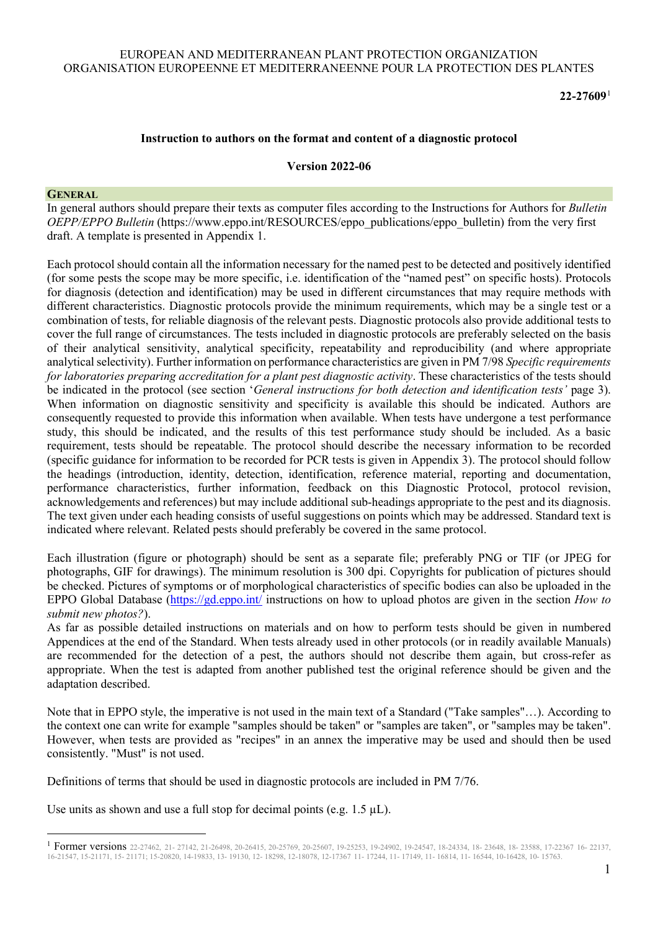### EUROPEAN AND MEDITERRANEAN PLANT PROTECTION ORGANIZATION ORGANISATION EUROPEENNE ET MEDITERRANEENNE POUR LA PROTECTION DES PLANTES

**22-27609**[1](#page-0-0)

#### **Instruction to authors on the format and content of a diagnostic protocol**

#### **Version 2022-06**

#### **GENERAL**

In general authors should prepare their texts as computer files according to the Instructions for Authors for *Bulletin OEPP/EPPO Bulletin* (https://www.eppo.int/RESOURCES/eppo\_publications/eppo\_bulletin) from the very first draft. A template is presented in Appendix 1.

Each protocol should contain all the information necessary for the named pest to be detected and positively identified (for some pests the scope may be more specific, i.e. identification of the "named pest" on specific hosts). Protocols for diagnosis (detection and identification) may be used in different circumstances that may require methods with different characteristics. Diagnostic protocols provide the minimum requirements, which may be a single test or a combination of tests, for reliable diagnosis of the relevant pests. Diagnostic protocols also provide additional tests to cover the full range of circumstances. The tests included in diagnostic protocols are preferably selected on the basis of their analytical sensitivity, analytical specificity, repeatability and reproducibility (and where appropriate analytical selectivity). Further information on performance characteristics are given in PM 7/98 *Specific requirements for laboratories preparing accreditation for a plant pest diagnostic activity*. These characteristics of the tests should be indicated in the protocol (see section '*General instructions for both detection and identification tests'* page 3). When information on diagnostic sensitivity and specificity is available this should be indicated. Authors are consequently requested to provide this information when available. When tests have undergone a test performance study, this should be indicated, and the results of this test performance study should be included. As a basic requirement, tests should be repeatable. The protocol should describe the necessary information to be recorded (specific guidance for information to be recorded for PCR tests is given in Appendix 3). The protocol should follow the headings (introduction, identity, detection, identification, reference material, reporting and documentation, performance characteristics, further information, feedback on this Diagnostic Protocol, protocol revision, acknowledgements and references) but may include additional sub-headings appropriate to the pest and its diagnosis. The text given under each heading consists of useful suggestions on points which may be addressed. Standard text is indicated where relevant. Related pests should preferably be covered in the same protocol.

Each illustration (figure or photograph) should be sent as a separate file; preferably PNG or TIF (or JPEG for photographs, GIF for drawings). The minimum resolution is 300 dpi. Copyrights for publication of pictures should be checked. Pictures of symptoms or of morphological characteristics of specific bodies can also be uploaded in the EPPO Global Database [\(https://gd.eppo.int/](https://gd.eppo.int/) instructions on how to upload photos are given in the section *How to submit new photos?*).

As far as possible detailed instructions on materials and on how to perform tests should be given in numbered Appendices at the end of the Standard. When tests already used in other protocols (or in readily available Manuals) are recommended for the detection of a pest, the authors should not describe them again, but cross-refer as appropriate. When the test is adapted from another published test the original reference should be given and the adaptation described.

Note that in EPPO style, the imperative is not used in the main text of a Standard ("Take samples"…). According to the context one can write for example "samples should be taken" or "samples are taken", or "samples may be taken". However, when tests are provided as "recipes" in an annex the imperative may be used and should then be used consistently. "Must" is not used.

Definitions of terms that should be used in diagnostic protocols are included in PM 7/76.

Use units as shown and use a full stop for decimal points (e.g.  $1.5 \mu L$ ).

<span id="page-0-0"></span><sup>&</sup>lt;sup>1</sup> Former versions 22-27462, 21- 27142, 21-26498, 20-26415, 20-25769, 20-25607, 19-25253, 19-24902, 19-24547, 18-24334, 18- 23648, 18- 23588, 17-22367 16- 22137, 16-21547, 15-21171, 15- 21171; 15-20820, 14-19833, 13- 19130, 12- 18298, 12-18078, 12-17367 11- 17244, 11- 17149, 11- 16814, 11- 16544, 10-16428, 10- 15763.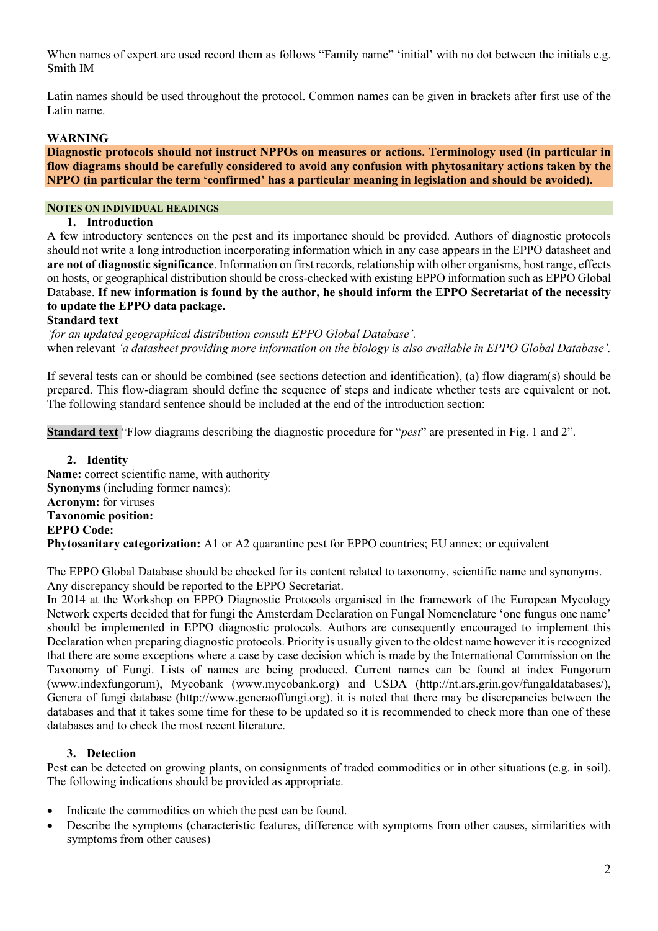When names of expert are used record them as follows "Family name" 'initial' with no dot between the initials e.g. Smith IM

Latin names should be used throughout the protocol. Common names can be given in brackets after first use of the Latin name.

### **WARNING**

**Diagnostic protocols should not instruct NPPOs on measures or actions. Terminology used (in particular in flow diagrams should be carefully considered to avoid any confusion with phytosanitary actions taken by the NPPO (in particular the term 'confirmed' has a particular meaning in legislation and should be avoided).** 

### **NOTES ON INDIVIDUAL HEADINGS**

#### **1. Introduction**

A few introductory sentences on the pest and its importance should be provided. Authors of diagnostic protocols should not write a long introduction incorporating information which in any case appears in the EPPO datasheet and **are not of diagnostic significance**. Information on first records, relationship with other organisms, host range, effects on hosts, or geographical distribution should be cross-checked with existing EPPO information such as EPPO Global Database. **If new information is found by the author, he should inform the EPPO Secretariat of the necessity to update the EPPO data package.** 

#### **Standard text**

*'for an updated geographical distribution consult EPPO Global Database'.*  when relevant *'a datasheet providing more information on the biology is also available in EPPO Global Database'.*

If several tests can or should be combined (see sections detection and identification), (a) flow diagram(s) should be prepared. This flow-diagram should define the sequence of steps and indicate whether tests are equivalent or not. The following standard sentence should be included at the end of the introduction section:

**Standard text** "Flow diagrams describing the diagnostic procedure for "*pest*" are presented in Fig. 1 and 2".

**2. Identity Name:** correct scientific name, with authority **Synonyms** (including former names): **Acronym:** for viruses **Taxonomic position: EPPO Code: Phytosanitary categorization:** A1 or A2 quarantine pest for EPPO countries; EU annex; or equivalent

The EPPO Global Database should be checked for its content related to taxonomy, scientific name and synonyms. Any discrepancy should be reported to the EPPO Secretariat.

In 2014 at the Workshop on EPPO Diagnostic Protocols organised in the framework of the European Mycology Network experts decided that for fungi the Amsterdam Declaration on Fungal Nomenclature 'one fungus one name' should be implemented in EPPO diagnostic protocols. Authors are consequently encouraged to implement this Declaration when preparing diagnostic protocols. Priority is usually given to the oldest name however it is recognized that there are some exceptions where a case by case decision which is made by the International Commission on the Taxonomy of Fungi. Lists of names are being produced. Current names can be found at index Fungorum (www.indexfungorum), Mycobank (www.mycobank.org) and USDA [\(http://nt.ars.grin.gov/fungaldatabases/\)](http://nt.ars.grin.gov/fungaldatabases/), Genera of fungi database (http://www.generaoffungi.org). it is noted that there may be discrepancies between the databases and that it takes some time for these to be updated so it is recommended to check more than one of these databases and to check the most recent literature.

### **3. Detection**

Pest can be detected on growing plants, on consignments of traded commodities or in other situations (e.g. in soil). The following indications should be provided as appropriate.

- Indicate the commodities on which the pest can be found.
- Describe the symptoms (characteristic features, difference with symptoms from other causes, similarities with symptoms from other causes)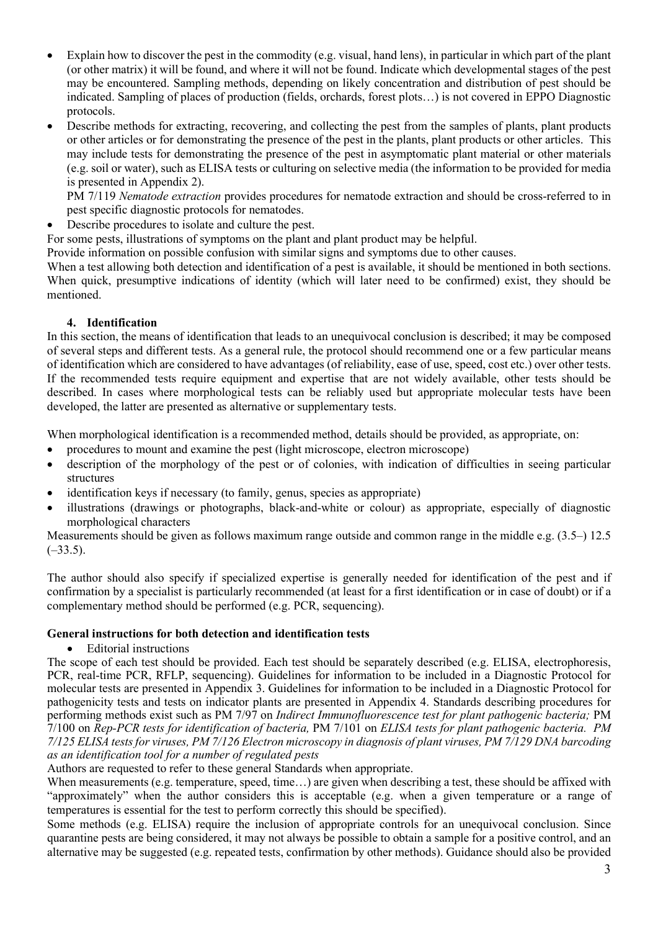- Explain how to discover the pest in the commodity (e.g. visual, hand lens), in particular in which part of the plant (or other matrix) it will be found, and where it will not be found. Indicate which developmental stages of the pest may be encountered. Sampling methods, depending on likely concentration and distribution of pest should be indicated. Sampling of places of production (fields, orchards, forest plots…) is not covered in EPPO Diagnostic protocols.
- Describe methods for extracting, recovering, and collecting the pest from the samples of plants, plant products or other articles or for demonstrating the presence of the pest in the plants, plant products or other articles. This may include tests for demonstrating the presence of the pest in asymptomatic plant material or other materials (e.g. soil or water), such as ELISA tests or culturing on selective media (the information to be provided for media is presented in Appendix 2).

PM 7/119 *Nematode extraction* provides procedures for nematode extraction and should be cross-referred to in pest specific diagnostic protocols for nematodes.

Describe procedures to isolate and culture the pest.

For some pests, illustrations of symptoms on the plant and plant product may be helpful.

Provide information on possible confusion with similar signs and symptoms due to other causes.

When a test allowing both detection and identification of a pest is available, it should be mentioned in both sections. When quick, presumptive indications of identity (which will later need to be confirmed) exist, they should be mentioned.

# **4. Identification**

In this section, the means of identification that leads to an unequivocal conclusion is described; it may be composed of several steps and different tests. As a general rule, the protocol should recommend one or a few particular means of identification which are considered to have advantages (of reliability, ease of use, speed, cost etc.) over other tests. If the recommended tests require equipment and expertise that are not widely available, other tests should be described. In cases where morphological tests can be reliably used but appropriate molecular tests have been developed, the latter are presented as alternative or supplementary tests.

When morphological identification is a recommended method, details should be provided, as appropriate, on:

- procedures to mount and examine the pest (light microscope, electron microscope)
- description of the morphology of the pest or of colonies, with indication of difficulties in seeing particular structures
- identification keys if necessary (to family, genus, species as appropriate)
- illustrations (drawings or photographs, black-and-white or colour) as appropriate, especially of diagnostic morphological characters

Measurements should be given as follows maximum range outside and common range in the middle e.g. (3.5–) 12.5  $(-33.5)$ .

The author should also specify if specialized expertise is generally needed for identification of the pest and if confirmation by a specialist is particularly recommended (at least for a first identification or in case of doubt) or if a complementary method should be performed (e.g. PCR, sequencing).

## **General instructions for both detection and identification tests**

• Editorial instructions

The scope of each test should be provided. Each test should be separately described (e.g. ELISA, electrophoresis, PCR, real-time PCR, RFLP, sequencing). Guidelines for information to be included in a Diagnostic Protocol for molecular tests are presented in Appendix 3. Guidelines for information to be included in a Diagnostic Protocol for pathogenicity tests and tests on indicator plants are presented in Appendix 4. Standards describing procedures for performing methods exist such as PM 7/97 on *Indirect Immunofluorescence test for plant pathogenic bacteria*; PM 7/100 on *Rep-PCR tests for identification of bacteria,* PM 7/101 on *ELISA tests for plant pathogenic bacteria. PM 7/125 ELISA tests for viruses, PM 7/126 Electron microscopy in diagnosis of plant viruses, PM 7/129 DNA barcoding as an identification tool for a number of regulated pests*

Authors are requested to refer to these general Standards when appropriate.

When measurements (e.g. temperature, speed, time...) are given when describing a test, these should be affixed with "approximately" when the author considers this is acceptable (e.g. when a given temperature or a range of temperatures is essential for the test to perform correctly this should be specified).

Some methods (e.g. ELISA) require the inclusion of appropriate controls for an unequivocal conclusion. Since quarantine pests are being considered, it may not always be possible to obtain a sample for a positive control, and an alternative may be suggested (e.g. repeated tests, confirmation by other methods). Guidance should also be provided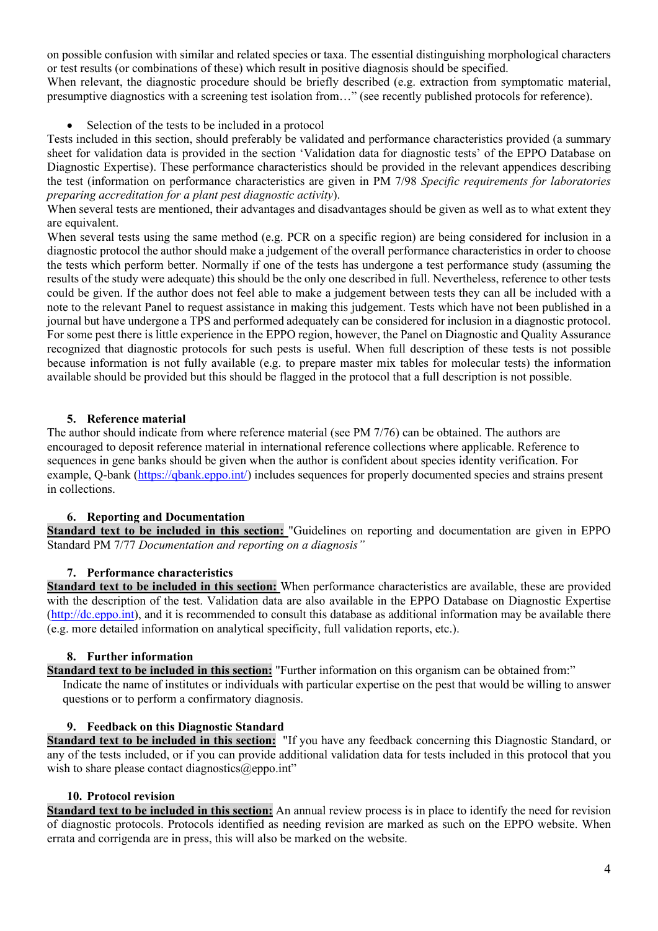on possible confusion with similar and related species or taxa. The essential distinguishing morphological characters or test results (or combinations of these) which result in positive diagnosis should be specified.

When relevant, the diagnostic procedure should be briefly described (e.g. extraction from symptomatic material, presumptive diagnostics with a screening test isolation from…" (see recently published protocols for reference).

Selection of the tests to be included in a protocol

Tests included in this section, should preferably be validated and performance characteristics provided (a summary sheet for validation data is provided in the section 'Validation data for diagnostic tests' of the EPPO Database on Diagnostic Expertise). These performance characteristics should be provided in the relevant appendices describing the test (information on performance characteristics are given in PM 7/98 *Specific requirements for laboratories preparing accreditation for a plant pest diagnostic activity*).

When several tests are mentioned, their advantages and disadvantages should be given as well as to what extent they are equivalent.

When several tests using the same method (e.g. PCR on a specific region) are being considered for inclusion in a diagnostic protocol the author should make a judgement of the overall performance characteristics in order to choose the tests which perform better. Normally if one of the tests has undergone a test performance study (assuming the results of the study were adequate) this should be the only one described in full. Nevertheless, reference to other tests could be given. If the author does not feel able to make a judgement between tests they can all be included with a note to the relevant Panel to request assistance in making this judgement. Tests which have not been published in a journal but have undergone a TPS and performed adequately can be considered for inclusion in a diagnostic protocol. For some pest there is little experience in the EPPO region, however, the Panel on Diagnostic and Quality Assurance recognized that diagnostic protocols for such pests is useful. When full description of these tests is not possible because information is not fully available (e.g. to prepare master mix tables for molecular tests) the information available should be provided but this should be flagged in the protocol that a full description is not possible.

## **5. Reference material**

The author should indicate from where reference material (see PM 7/76) can be obtained. The authors are encouraged to deposit reference material in international reference collections where applicable. Reference to sequences in gene banks should be given when the author is confident about species identity verification. For example, Q-bank (https://qbank.eppo.int/) includes sequences for properly documented species and strains present in collections.

### **6. Reporting and Documentation**

**Standard text to be included in this section:** "Guidelines on reporting and documentation are given in EPPO Standard PM 7/77 *Documentation and reporting on a diagnosis"* 

### **7. Performance characteristics**

**Standard text to be included in this section:** When performance characteristics are available, these are provided with the description of the test. Validation data are also available in the EPPO Database on Diagnostic Expertise [\(http://dc.eppo.int\)](http://dc.eppo.int/), and it is recommended to consult this database as additional information may be available there (e.g. more detailed information on analytical specificity, full validation reports, etc.).

### **8. Further information**

**Standard text to be included in this section:** "Further information on this organism can be obtained from:"

Indicate the name of institutes or individuals with particular expertise on the pest that would be willing to answer questions or to perform a confirmatory diagnosis.

### **9. Feedback on this Diagnostic Standard**

**Standard text to be included in this section:** "If you have any feedback concerning this Diagnostic Standard, or any of the tests included, or if you can provide additional validation data for tests included in this protocol that you wish to share please contact diagnostics  $@$ eppo.int"

### **10. Protocol revision**

**Standard text to be included in this section:** An annual review process is in place to identify the need for revision of diagnostic protocols. Protocols identified as needing revision are marked as such on the EPPO website. When errata and corrigenda are in press, this will also be marked on the website.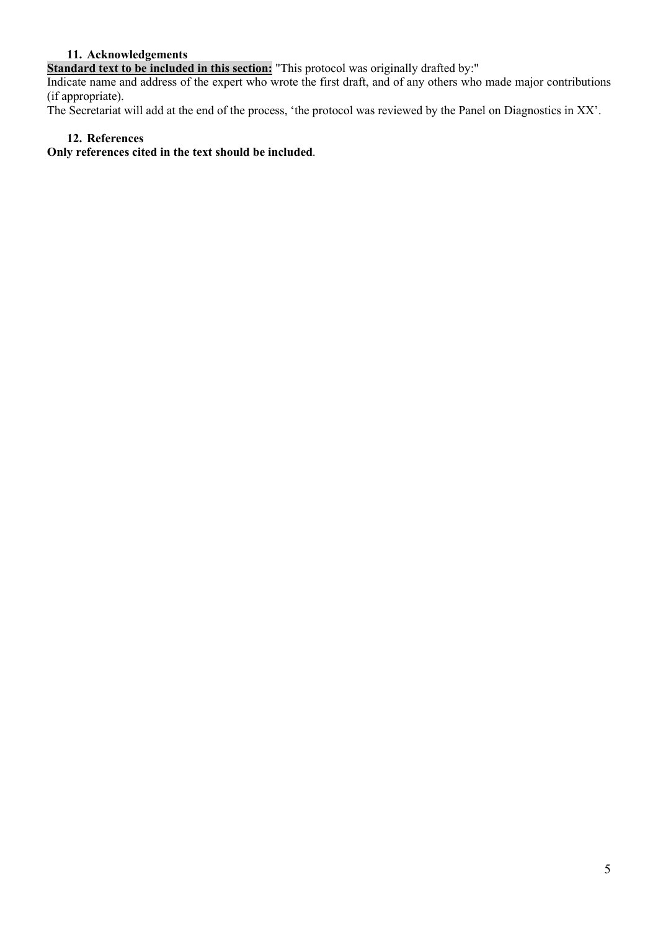## **11. Acknowledgements**

**Standard text to be included in this section:** "This protocol was originally drafted by:"

Indicate name and address of the expert who wrote the first draft, and of any others who made major contributions (if appropriate).

The Secretariat will add at the end of the process, 'the protocol was reviewed by the Panel on Diagnostics in XX'.

## **12. References**

**Only references cited in the text should be included**.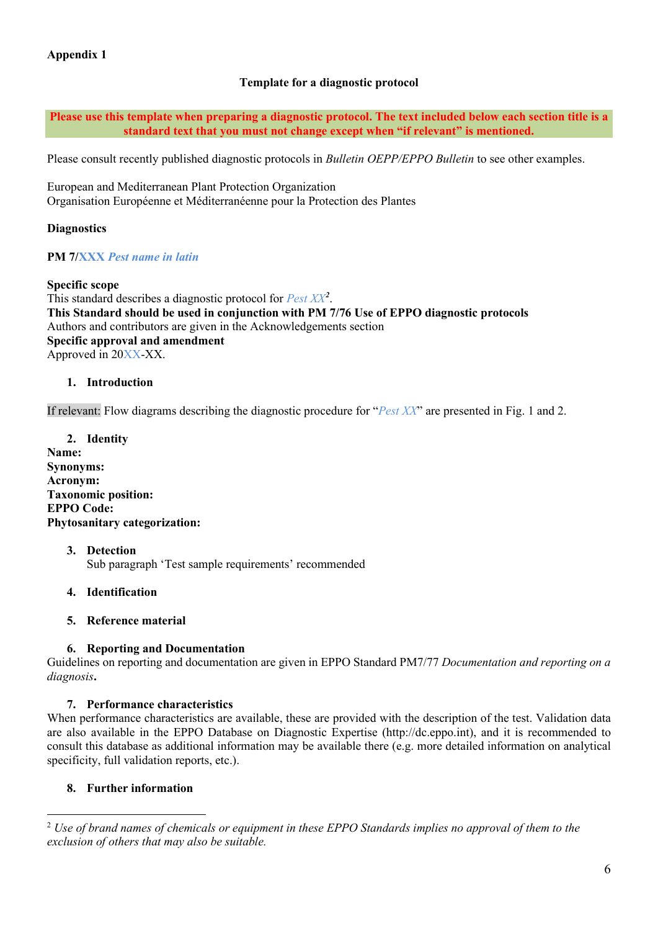## **Template for a diagnostic protocol**

**Please use this template when preparing a diagnostic protocol. The text included below each section title is a standard text that you must not change except when "if relevant" is mentioned.**

Please consult recently published diagnostic protocols in *Bulletin OEPP/EPPO Bulletin* to see other examples.

European and Mediterranean Plant Protection Organization Organisation Européenne et Méditerranéenne pour la Protection des Plantes

## **Diagnostics**

**PM 7/XXX** *Pest name in latin*

### **Specific scope**

This standard describes a diagnostic protocol for *Pest XX[2](#page-5-0)* . **This Standard should be used in conjunction with PM 7/76 Use of EPPO diagnostic protocols**  Authors and contributors are given in the Acknowledgements section **Specific approval and amendment** Approved in 20XX-XX.

### **1. Introduction**

If relevant: Flow diagrams describing the diagnostic procedure for "*Pest XX*" are presented in Fig. 1 and 2.

**2. Identity Name: Synonyms:** **Acronym: Taxonomic position: EPPO Code: Phytosanitary categorization:**

#### **3. Detection** Sub paragraph 'Test sample requirements' recommended

### **4. Identification**

### **5. Reference material**

## **6. Reporting and Documentation**

Guidelines on reporting and documentation are given in EPPO Standard PM7/77 *Documentation and reporting on a diagnosis***.** 

### **7. Performance characteristics**

When performance characteristics are available, these are provided with the description of the test. Validation data are also available in the EPPO Database on Diagnostic Expertise (http://dc.eppo.int), and it is recommended to consult this database as additional information may be available there (e.g. more detailed information on analytical specificity, full validation reports, etc.).

## **8. Further information**

<span id="page-5-0"></span><sup>2</sup> *Use of brand names of chemicals or equipment in these EPPO Standards implies no approval of them to the exclusion of others that may also be suitable.*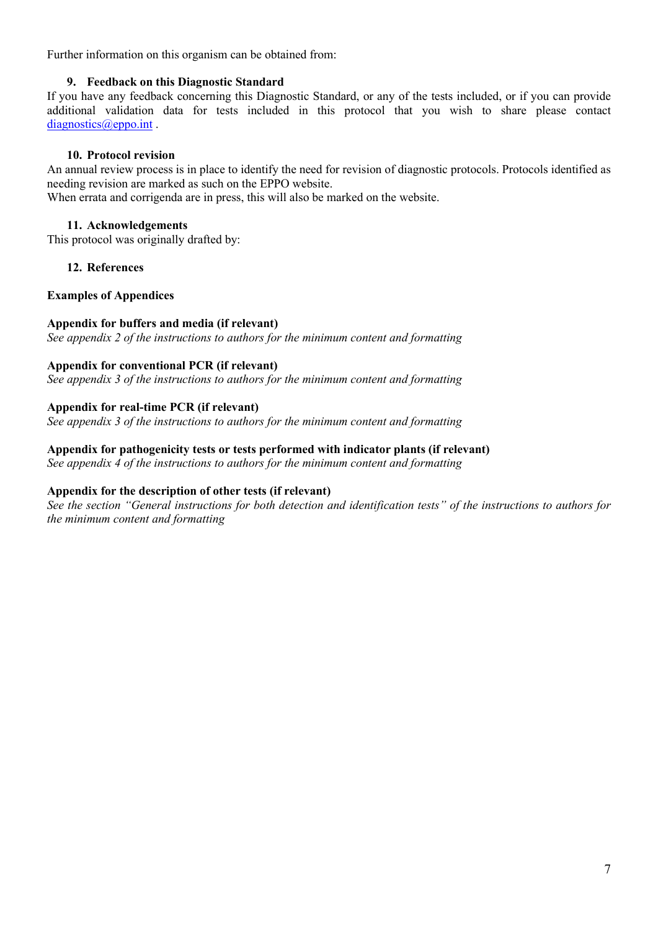Further information on this organism can be obtained from:

## **9. Feedback on this Diagnostic Standard**

If you have any feedback concerning this Diagnostic Standard, or any of the tests included, or if you can provide additional validation data for tests included in this protocol that you wish to share please contact diagnostics@eppo.int.

### **10. Protocol revision**

An annual review process is in place to identify the need for revision of diagnostic protocols. Protocols identified as needing revision are marked as such on the EPPO website.

When errata and corrigenda are in press, this will also be marked on the website.

## **11. Acknowledgements**

This protocol was originally drafted by:

**12. References**

### **Examples of Appendices**

## **Appendix for buffers and media (if relevant)**

*See appendix 2 of the instructions to authors for the minimum content and formatting* 

### **Appendix for conventional PCR (if relevant)**

*See appendix 3 of the instructions to authors for the minimum content and formatting* 

### **Appendix for real-time PCR (if relevant)**

*See appendix 3 of the instructions to authors for the minimum content and formatting* 

### **Appendix for pathogenicity tests or tests performed with indicator plants (if relevant)**

*See appendix 4 of the instructions to authors for the minimum content and formatting* 

## **Appendix for the description of other tests (if relevant)**

*See the section "General instructions for both detection and identification tests" of the instructions to authors for the minimum content and formatting*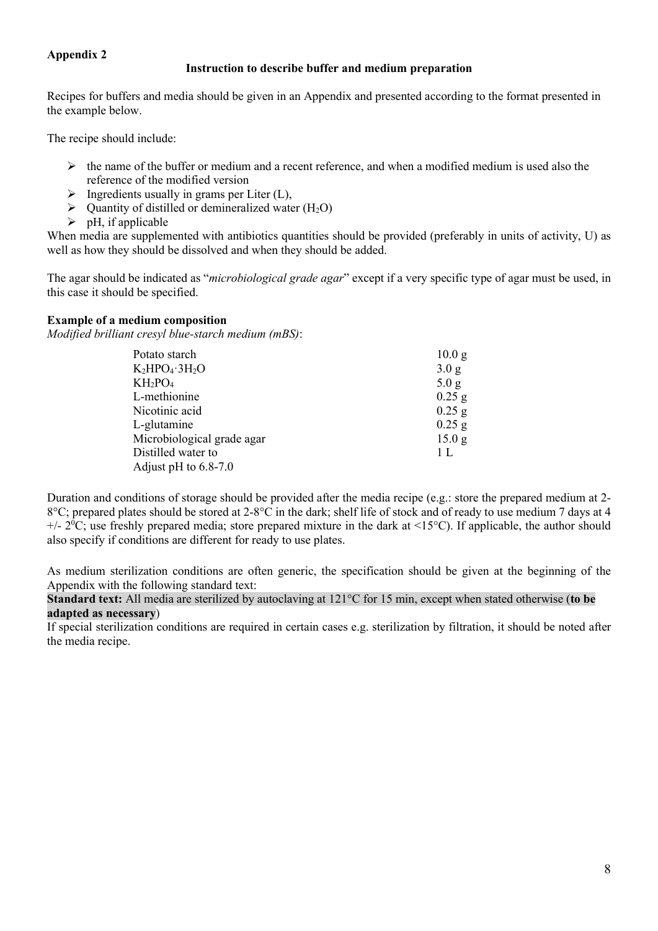# **Appendix 2**

## **Instruction to describe buffer and medium preparation**

Recipes for buffers and media should be given in an Appendix and presented according to the format presented in the example below.

The recipe should include:

- $\triangleright$  the name of the buffer or medium and a recent reference, and when a modified medium is used also the reference of the modified version
- $\triangleright$  Ingredients usually in grams per Liter (L),
- $\triangleright$  Quantity of distilled or demineralized water (H<sub>2</sub>O)
- $\triangleright$  pH, if applicable

When media are supplemented with antibiotics quantities should be provided (preferably in units of activity, U) as well as how they should be dissolved and when they should be added.

The agar should be indicated as "*microbiological grade agar*" except if a very specific type of agar must be used, in this case it should be specified.

## **Example of a medium composition**

*Modified brilliant cresyl blue-starch medium (mBS)*:

| 10.0 g         |
|----------------|
| 3.0 g          |
| 5.0 g          |
| $0.25$ g       |
| $0.25$ g       |
| $0.25$ g       |
| 15.0 g         |
| 1 <sub>L</sub> |
|                |
|                |

Duration and conditions of storage should be provided after the media recipe (e.g.: store the prepared medium at 2- 8°C; prepared plates should be stored at 2-8°C in the dark; shelf life of stock and of ready to use medium 7 days at 4  $+/- 2°C$ ; use freshly prepared media; store prepared mixture in the dark at <15°C). If applicable, the author should also specify if conditions are different for ready to use plates.

As medium sterilization conditions are often generic, the specification should be given at the beginning of the Appendix with the following standard text:

**Standard text:** All media are sterilized by autoclaving at 121°C for 15 min, except when stated otherwise (**to be adapted as necessary**)

If special sterilization conditions are required in certain cases e.g. sterilization by filtration, it should be noted after the media recipe.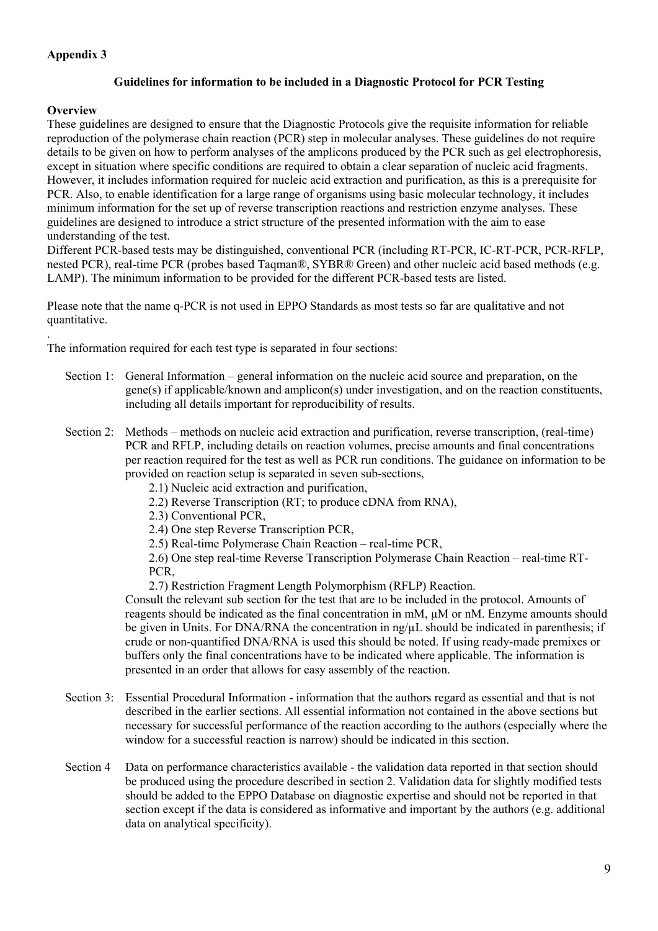# **Appendix 3**

## **Guidelines for information to be included in a Diagnostic Protocol for PCR Testing**

### **Overview**

.

These guidelines are designed to ensure that the Diagnostic Protocols give the requisite information for reliable reproduction of the polymerase chain reaction (PCR) step in molecular analyses. These guidelines do not require details to be given on how to perform analyses of the amplicons produced by the PCR such as gel electrophoresis, except in situation where specific conditions are required to obtain a clear separation of nucleic acid fragments. However, it includes information required for nucleic acid extraction and purification, as this is a prerequisite for PCR. Also, to enable identification for a large range of organisms using basic molecular technology, it includes minimum information for the set up of reverse transcription reactions and restriction enzyme analyses. These guidelines are designed to introduce a strict structure of the presented information with the aim to ease understanding of the test.

Different PCR-based tests may be distinguished, conventional PCR (including RT-PCR, IC-RT-PCR, PCR-RFLP, nested PCR), real-time PCR (probes based Taqman®, SYBR® Green) and other nucleic acid based methods (e.g. LAMP). The minimum information to be provided for the different PCR-based tests are listed.

Please note that the name q-PCR is not used in EPPO Standards as most tests so far are qualitative and not quantitative.

The information required for each test type is separated in four sections:

- Section 1: General Information general information on the nucleic acid source and preparation, on the gene(s) if applicable/known and amplicon(s) under investigation, and on the reaction constituents, including all details important for reproducibility of results.
- Section 2: Methods methods on nucleic acid extraction and purification, reverse transcription, (real-time) PCR and RFLP, including details on reaction volumes, precise amounts and final concentrations per reaction required for the test as well as PCR run conditions. The guidance on information to be provided on reaction setup is separated in seven sub-sections,

2.1) Nucleic acid extraction and purification,

- 2.2) Reverse Transcription (RT; to produce cDNA from RNA),
- 2.3) Conventional PCR,
- 2.4) One step Reverse Transcription PCR,
- 2.5) Real-time Polymerase Chain Reaction real-time PCR,

2.6) One step real-time Reverse Transcription Polymerase Chain Reaction – real-time RT-PCR,

2.7) Restriction Fragment Length Polymorphism (RFLP) Reaction.

Consult the relevant sub section for the test that are to be included in the protocol. Amounts of reagents should be indicated as the final concentration in mM, µM or nM. Enzyme amounts should be given in Units. For DNA/RNA the concentration in  $ng/\mu L$  should be indicated in parenthesis; if crude or non-quantified DNA/RNA is used this should be noted. If using ready-made premixes or buffers only the final concentrations have to be indicated where applicable. The information is presented in an order that allows for easy assembly of the reaction.

- Section 3: Essential Procedural Information information that the authors regard as essential and that is not described in the earlier sections. All essential information not contained in the above sections but necessary for successful performance of the reaction according to the authors (especially where the window for a successful reaction is narrow) should be indicated in this section.
- Section 4 Data on performance characteristics available the validation data reported in that section should be produced using the procedure described in section 2. Validation data for slightly modified tests should be added to the EPPO Database on diagnostic expertise and should not be reported in that section except if the data is considered as informative and important by the authors (e.g. additional data on analytical specificity).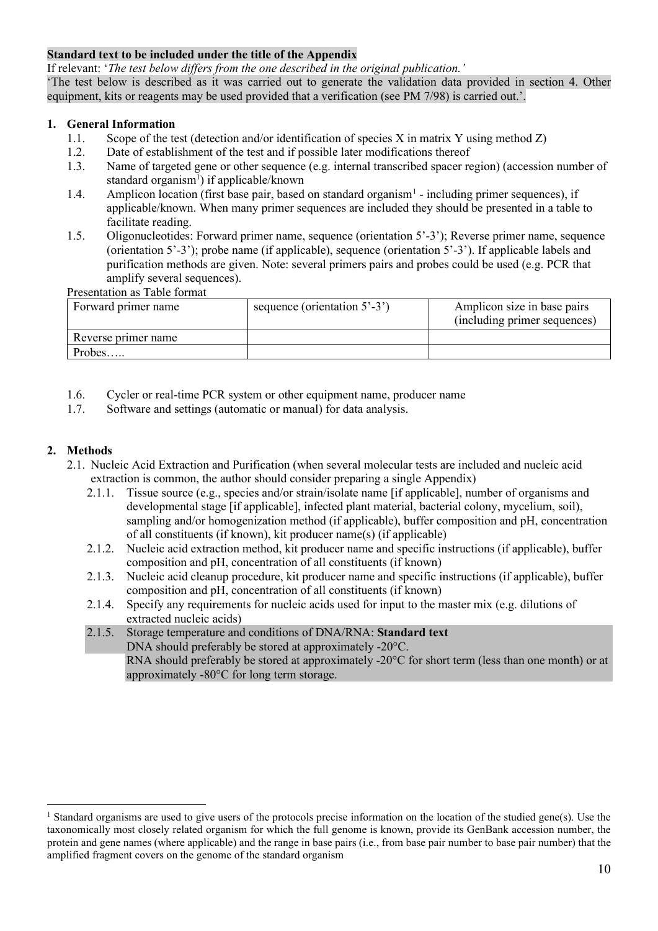## **Standard text to be included under the title of the Appendix**

If relevant: '*The test below differs from the one described in the original publication.'*

'The test below is described as it was carried out to generate the validation data provided in section 4. Other equipment, kits or reagents may be used provided that a verification (see PM 7/98) is carried out.'.

## **1. General Information**

- 1.1. Scope of the test (detection and/or identification of species X in matrix Y using method Z)
- 1.2. Date of establishment of the test and if possible later modifications thereof
- 1.3. Name of targeted gene or other sequence (e.g. internal transcribed spacer region) (accession number of standard organism<sup>1</sup>) if applicable/known
- 1.4. Amplicon location (first base pair, based on standard organism<sup>1</sup> including primer sequences), if applicable/known. When many primer sequences are included they should be presented in a table to facilitate reading.
- 1.5. Oligonucleotides: Forward primer name, sequence (orientation 5'-3'); Reverse primer name, sequence (orientation 5'-3'); probe name (if applicable), sequence (orientation 5'-3'). If applicable labels and purification methods are given. Note: several primers pairs and probes could be used (e.g. PCR that amplify several sequences).

Presentation as Table format

| Forward primer name | sequence (orientation $5'$ -3') | Amplicon size in base pairs<br>(including primer sequences) |
|---------------------|---------------------------------|-------------------------------------------------------------|
| Reverse primer name |                                 |                                                             |
| Probes              |                                 |                                                             |

- 1.6. Cycler or real-time PCR system or other equipment name, producer name
- 1.7. Software and settings (automatic or manual) for data analysis.

### **2. Methods**

- 2.1. Nucleic Acid Extraction and Purification (when several molecular tests are included and nucleic acid extraction is common, the author should consider preparing a single Appendix)
	- 2.1.1. Tissue source (e.g., species and/or strain/isolate name [if applicable], number of organisms and developmental stage [if applicable], infected plant material, bacterial colony, mycelium, soil), sampling and/or homogenization method (if applicable), buffer composition and pH, concentration of all constituents (if known), kit producer name(s) (if applicable)
	- 2.1.2. Nucleic acid extraction method, kit producer name and specific instructions (if applicable), buffer composition and pH, concentration of all constituents (if known)
	- 2.1.3. Nucleic acid cleanup procedure, kit producer name and specific instructions (if applicable), buffer composition and pH, concentration of all constituents (if known)
	- 2.1.4. Specify any requirements for nucleic acids used for input to the master mix (e.g. dilutions of extracted nucleic acids)
	- 2.1.5. Storage temperature and conditions of DNA/RNA: **Standard text** DNA should preferably be stored at approximately -20°C. RNA should preferably be stored at approximately  $-20^{\circ}$ C for short term (less than one month) or at approximately -80°C for long term storage.

<span id="page-9-0"></span><sup>&</sup>lt;sup>1</sup> Standard organisms are used to give users of the protocols precise information on the location of the studied gene(s). Use the taxonomically most closely related organism for which the full genome is known, provide its GenBank accession number, the protein and gene names (where applicable) and the range in base pairs (i.e., from base pair number to base pair number) that the amplified fragment covers on the genome of the standard organism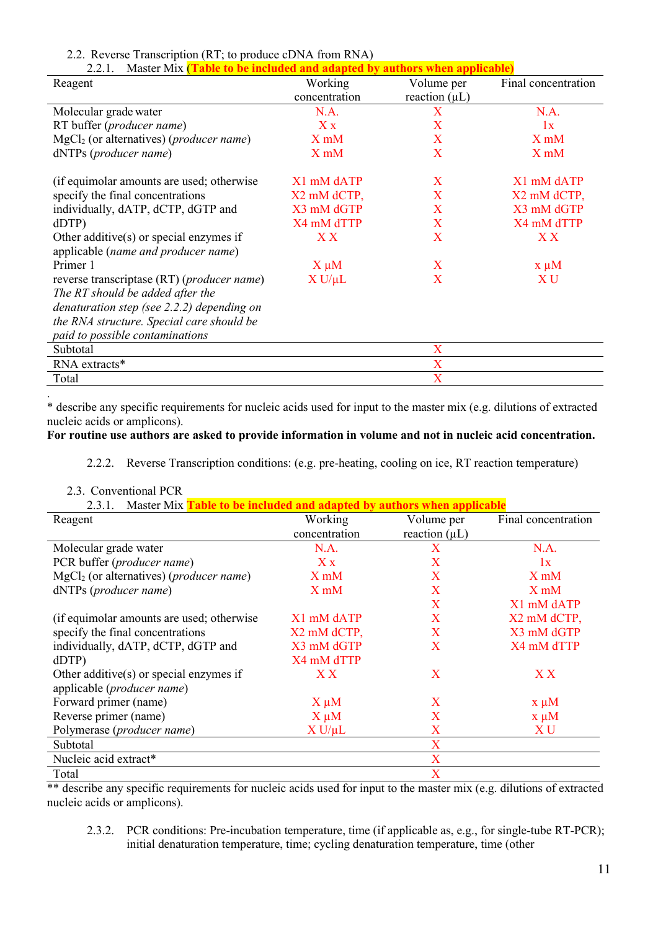## 2.2. Reverse Transcription (RT; to produce cDNA from RNA)

| 2.2.1.<br>Master Mix ( <b>Table to be included and adapted by authors when applicable</b> ) |               |                    |                     |  |
|---------------------------------------------------------------------------------------------|---------------|--------------------|---------------------|--|
| Reagent                                                                                     | Working       | Volume per         | Final concentration |  |
|                                                                                             | concentration | reaction $(\mu L)$ |                     |  |
| Molecular grade water                                                                       | N.A.          | X                  | N.A.                |  |
| RT buffer (producer name)                                                                   | X x           | X                  | 1x                  |  |
| $MgCl2$ (or alternatives) ( <i>producer name</i> )                                          | $X$ m $M$     | X                  | $X$ m $M$           |  |
| dNTPs (producer name)                                                                       | $X$ m $M$     | X                  | $X$ m $M$           |  |
| (if equimolar amounts are used; otherwise                                                   | X1 mM dATP    | $\mathbf{X}$       | X1 mM dATP          |  |
| specify the final concentrations                                                            | X2 mM dCTP,   | X                  | X2 mM dCTP,         |  |
| individually, dATP, dCTP, dGTP and                                                          | X3 mM dGTP    | X                  | X3 mM dGTP          |  |
| dDTP                                                                                        | X4 mM dTTP    | X                  | X4 mM dTTP          |  |
| Other additive $(s)$ or special enzymes if                                                  | X X           | X                  | X X                 |  |
| applicable (name and producer name)                                                         |               |                    |                     |  |
| Primer 1                                                                                    | $X \mu M$     | X                  | $x \mu M$           |  |
| reverse transcriptase (RT) ( <i>producer name</i> )                                         | $X U/\mu L$   | X                  | XU                  |  |
| The RT should be added after the                                                            |               |                    |                     |  |
| denaturation step (see $2.2.2$ ) depending on                                               |               |                    |                     |  |
| the RNA structure. Special care should be                                                   |               |                    |                     |  |
| paid to possible contaminations                                                             |               |                    |                     |  |
| Subtotal                                                                                    |               | X                  |                     |  |
| RNA extracts*                                                                               |               | X                  |                     |  |
| Total                                                                                       |               | X                  |                     |  |

\* describe any specific requirements for nucleic acids used for input to the master mix (e.g. dilutions of extracted nucleic acids or amplicons).

### **For routine use authors are asked to provide information in volume and not in nucleic acid concentration.**

2.2.2. Reverse Transcription conditions: (e.g. pre-heating, cooling on ice, RT reaction temperature)

| 2.3. Conventional PCR |  |
|-----------------------|--|
|                       |  |

.

2.3.1. Master Mix **Table to be included and adapted by authors when applicable**

| Reagent                                            | Working          | Volume per         | Final concentration |
|----------------------------------------------------|------------------|--------------------|---------------------|
|                                                    | concentration    | reaction $(\mu L)$ |                     |
| Molecular grade water                              | N.A.             | X                  | N.A.                |
| PCR buffer (producer name)                         | $X_{X}$          | X                  | 1x                  |
| $MgCl2$ (or alternatives) ( <i>producer name</i> ) | X <sub>m</sub> M | X                  | X <sub>m</sub> M    |
| dNTPs (producer name)                              | X <sub>m</sub> M | X                  | X <sub>m</sub> M    |
|                                                    |                  | X                  | X1 mM dATP          |
| (if equimolar amounts are used; otherwise          | X1 mM dATP       | X                  | X2 mM dCTP,         |
| specify the final concentrations                   | X2 mM dCTP,      | X                  | X3 mM dGTP          |
| individually, dATP, dCTP, dGTP and                 | X3 mM dGTP       | X                  | X4 mM dTTP          |
| dDTP                                               | X4 mM dTTP       |                    |                     |
| Other additive( $s$ ) or special enzymes if        | X X              | X                  | X X                 |
| applicable ( <i>producer name</i> )                |                  |                    |                     |
| Forward primer (name)                              | $X \mu M$        | X                  | $x \mu M$           |
| Reverse primer (name)                              | $X \mu M$        | X                  | $x \mu M$           |
| Polymerase (producer name)                         | $X U/\mu L$      | X                  | X U                 |
| Subtotal                                           |                  | X                  |                     |
| Nucleic acid extract*                              |                  | X                  |                     |
| Total                                              |                  | X                  |                     |

\*\* describe any specific requirements for nucleic acids used for input to the master mix (e.g. dilutions of extracted nucleic acids or amplicons).

2.3.2. PCR conditions: Pre-incubation temperature, time (if applicable as, e.g., for single-tube RT-PCR); initial denaturation temperature, time; cycling denaturation temperature, time (other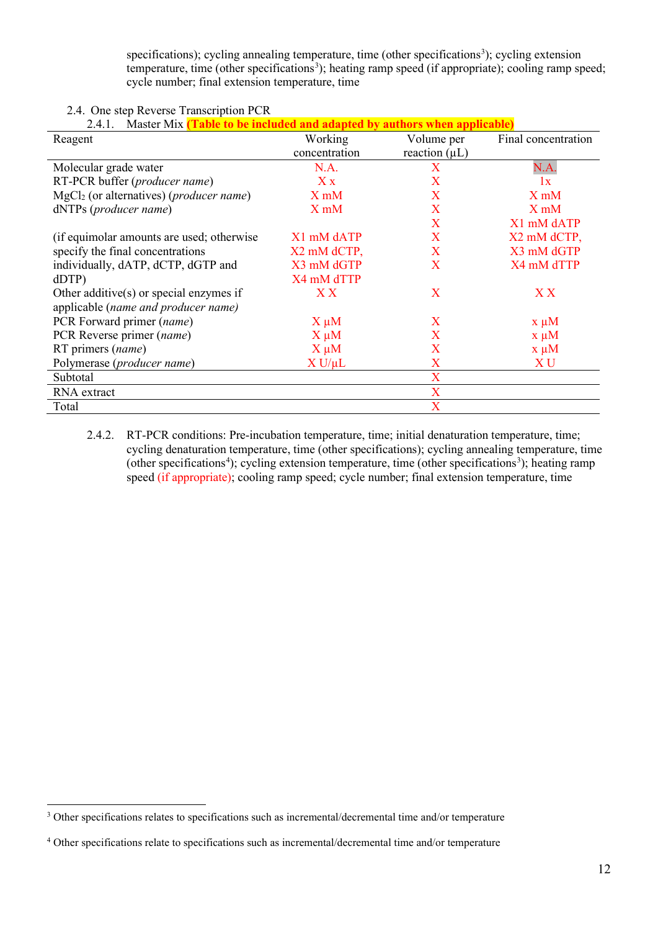specifications); cycling annealing temperature, time (other specifications<sup>3</sup>); cycling extension temperature, time (other specifications<sup>[3](#page-11-1)</sup>); heating ramp speed (if appropriate); cooling ramp speed; cycle number; final extension temperature, time

## 2.4. One step Reverse Transcription PCR

| <i>.</i> 4 I | Master Mix |  |  |
|--------------|------------|--|--|
|--------------|------------|--|--|

| Reagent                                             | Working          | Volume per         | Final concentration |
|-----------------------------------------------------|------------------|--------------------|---------------------|
|                                                     | concentration    | reaction $(\mu L)$ |                     |
| Molecular grade water                               | N.A.             | X                  | N.A.                |
| RT-PCR buffer (producer name)                       | $X_{X}$          | X                  | 1x                  |
| MgCl <sub>2</sub> (or alternatives) (producer name) | X <sub>m</sub> M | X                  | X <sub>m</sub> M    |
| dNTPs (producer name)                               | X <sub>m</sub> M | X                  | X <sub>m</sub> M    |
|                                                     |                  | X                  | X1 mM dATP          |
| (if equimolar amounts are used; otherwise           | X1 mM dATP       | X                  | X2 mM dCTP,         |
| specify the final concentrations                    | X2 mM dCTP,      | X                  | X3 mM dGTP          |
| individually, dATP, dCTP, dGTP and                  | X3 mM dGTP       | X                  | X4 mM dTTP          |
| dDTP                                                | X4 mM dTTP       |                    |                     |
| Other additive( $s$ ) or special enzymes if         | X X              | X                  | X X                 |
| applicable (name and producer name)                 |                  |                    |                     |
| PCR Forward primer (name)                           | $X \mu M$        | X                  | $x \mu M$           |
| PCR Reverse primer (name)                           | $X \mu M$        | X                  | $x \mu M$           |
| RT primers (name)                                   | $X \mu M$        | X                  | $x \mu M$           |
| Polymerase (producer name)                          | $X U/\mu L$      | X                  | X <sub>U</sub>      |
| Subtotal                                            |                  | X                  |                     |
| RNA extract                                         |                  | X                  |                     |
| Total                                               |                  | X                  |                     |

2.4.2. RT-PCR conditions: Pre-incubation temperature, time; initial denaturation temperature, time; cycling denaturation temperature, time (other specifications); cycling annealing temperature, time (other specifications<sup>[4](#page-11-2)</sup>); cycling extension temperature, time (other specifications<sup>[3](#page-11-3)</sup>); heating ramp speed (if appropriate); cooling ramp speed; cycle number; final extension temperature, time

<span id="page-11-0"></span><sup>&</sup>lt;sup>3</sup> Other specifications relates to specifications such as incremental/decremental time and/or temperature

<span id="page-11-3"></span><span id="page-11-2"></span><span id="page-11-1"></span><sup>4</sup> Other specifications relate to specifications such as incremental/decremental time and/or temperature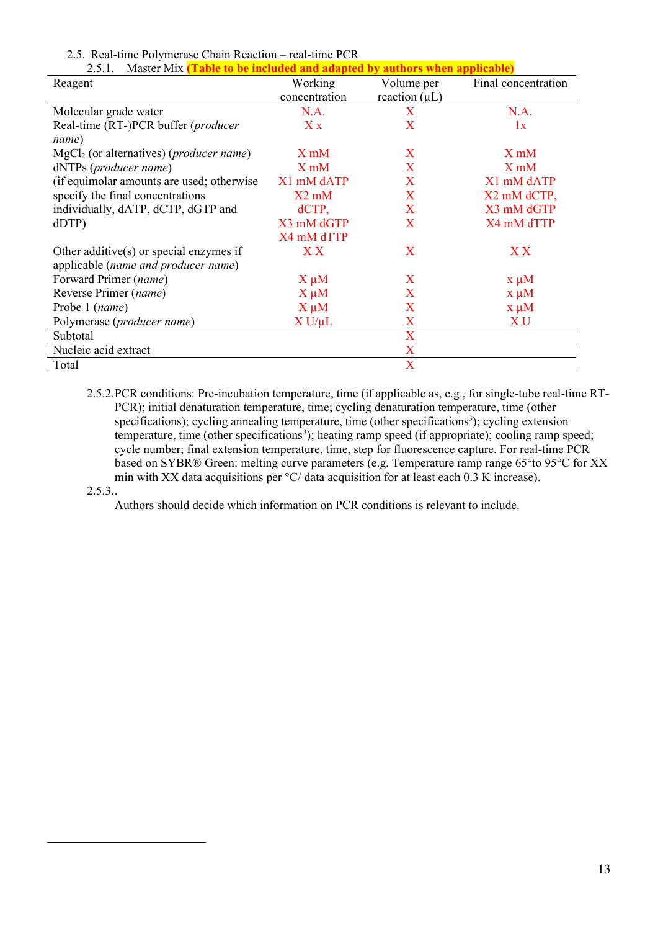| Master Mix <i>(Table to be included and adapted by authors when applicable)</i><br>2.5.1. |                  |                    |                     |  |
|-------------------------------------------------------------------------------------------|------------------|--------------------|---------------------|--|
| Reagent                                                                                   | Working          | Volume per         | Final concentration |  |
|                                                                                           | concentration    | reaction $(\mu L)$ |                     |  |
| Molecular grade water                                                                     | N.A.             | X                  | N.A.                |  |
| Real-time (RT-)PCR buffer (producer                                                       | $X_{X}$          | X                  | 1x                  |  |
| name)                                                                                     |                  |                    |                     |  |
| MgCl <sub>2</sub> (or alternatives) (producer name)                                       | $X \text{ mM}$   | X                  | $X \text{ mM}$      |  |
| dNTPs (producer name)                                                                     | X <sub>m</sub> M | $\mathbf{X}$       | X <sub>m</sub> M    |  |
| (if equimolar amounts are used; otherwise                                                 | X1 mM dATP       | $\mathbf{X}$       | X1 mM dATP          |  |
| specify the final concentrations                                                          | $X2$ mM          | $\mathbf{X}$       | X2 mM dCTP,         |  |
| individually, dATP, dCTP, dGTP and                                                        | $dCTP$ ,         | $\mathbf{X}$       | X3 mM dGTP          |  |
| dDTP                                                                                      | X3 mM dGTP       | X                  | X4 mM dTTP          |  |
|                                                                                           | X4 mM dTTP       |                    |                     |  |
| Other additive( $s$ ) or special enzymes if                                               | X X              | X                  | X X                 |  |
| applicable (name and producer name)                                                       |                  |                    |                     |  |
| Forward Primer (name)                                                                     | $X \mu M$        | X                  | $x \mu M$           |  |
| Reverse Primer (name)                                                                     | $X \mu M$        | X                  | $x \mu M$           |  |
| Probe 1 (name)                                                                            | $X \mu M$        | X                  | $x \mu M$           |  |
| Polymerase ( <i>producer name</i> )                                                       | $X U/\mu L$      | X                  | X U                 |  |
| Subtotal                                                                                  |                  | X                  |                     |  |
| Nucleic acid extract                                                                      |                  | X                  |                     |  |
| Total                                                                                     |                  | X                  |                     |  |

### 2.5. Real-time Polymerase Chain Reaction – real-time PCR

2.5.2.PCR conditions: Pre-incubation temperature, time (if applicable as, e.g., for single-tube real-time RT-PCR); initial denaturation temperature, time; cycling denaturation temperature, time (other specifications); cycling annealing temperature, time (other specifications<sup>3</sup>); cycling extension temperature, time (other specifications<sup>[3](#page-12-0)</sup>); heating ramp speed (if appropriate); cooling ramp speed; cycle number; final extension temperature, time, step for fluorescence capture. For real-time PCR based on SYBR® Green: melting curve parameters (e.g. Temperature ramp range 65°to 95°C for XX min with XX data acquisitions per °C/ data acquisition for at least each 0.3 K increase).  $2.5.3...$ 

<span id="page-12-0"></span>Authors should decide which information on PCR conditions is relevant to include.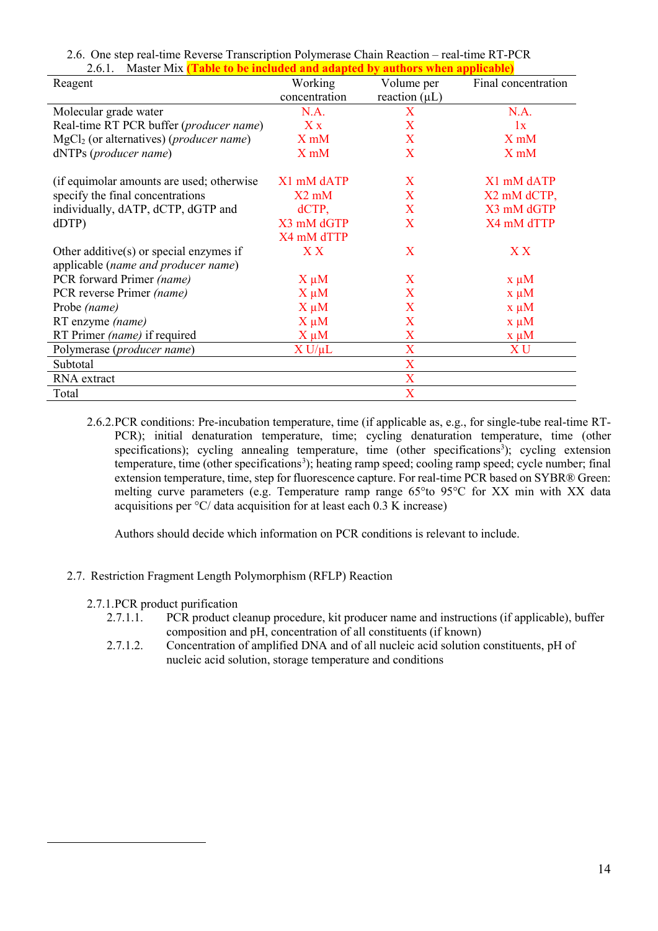| 2.6.1.<br>Master Mix (Table to be included and adapted by authors when applicable) |                  |                         |                     |  |
|------------------------------------------------------------------------------------|------------------|-------------------------|---------------------|--|
| Reagent                                                                            | Working          | Volume per              | Final concentration |  |
|                                                                                    | concentration    | reaction $(\mu L)$      |                     |  |
| Molecular grade water                                                              | N.A.             | X                       | N.A.                |  |
| Real-time RT PCR buffer (producer name)                                            | $X_{X}$          | X                       | 1x                  |  |
| $MgCl2$ (or alternatives) ( <i>producer name</i> )                                 | $X$ m $M$        | X                       | X <sub>m</sub> M    |  |
| dNTPs (producer name)                                                              | X <sub>m</sub> M | X                       | X <sub>m</sub> M    |  |
| (if equimolar amounts are used; otherwise                                          | X1 mM dATP       | X                       | X1 mM dATP          |  |
| specify the final concentrations                                                   | $X2$ mM          | $\mathbf{X}$            | X2 mM dCTP,         |  |
| individually, dATP, dCTP, dGTP and                                                 | $dCTP$ ,         | $\mathbf{X}$            | X3 mM dGTP          |  |
| dDTP                                                                               | X3 mM dGTP       | X                       | X4 mM dTTP          |  |
|                                                                                    | X4 mM dTTP       |                         |                     |  |
| Other additive( $s$ ) or special enzymes if                                        | X X              | X                       | X X                 |  |
| applicable (name and producer name)                                                |                  |                         |                     |  |
| PCR forward Primer (name)                                                          | $X \mu M$        | $\mathbf{X}$            | $x \mu M$           |  |
| PCR reverse Primer (name)                                                          | $X \mu M$        | X                       | $x \mu M$           |  |
| Probe (name)                                                                       | $X \mu M$        | X                       | $x \mu M$           |  |
| RT enzyme (name)                                                                   | $X \mu M$        | X                       | $x \mu M$           |  |
| RT Primer (name) if required                                                       | $X \mu M$        | X                       | $x \mu M$           |  |
| Polymerase (producer name)                                                         | $X U/\mu L$      | X                       | XU                  |  |
| Subtotal                                                                           |                  | X                       |                     |  |
| RNA extract                                                                        |                  | $\mathbf X$             |                     |  |
| Total                                                                              |                  | $\overline{\mathbf{X}}$ |                     |  |

2.6. One step real-time Reverse Transcription Polymerase Chain Reaction – real-time RT-PCR 2.6.1. Master Mix **(Table to be included and adapted by authors when applicable)**

2.6.2.PCR conditions: Pre-incubation temperature, time (if applicable as, e.g., for single-tube real-time RT-PCR); initial denaturation temperature, time; cycling denaturation temperature, time (other specifications); cycling annealing temperature, time (other specifications<sup>3</sup>); cycling extension temperature, time (other specifications<sup>[3](#page-13-0)</sup>); heating ramp speed; cooling ramp speed; cycle number; final extension temperature, time, step for fluorescence capture. For real-time PCR based on SYBR® Green: melting curve parameters (e.g. Temperature ramp range 65°to 95°C for XX min with XX data acquisitions per °C/ data acquisition for at least each 0.3 K increase)

Authors should decide which information on PCR conditions is relevant to include.

## 2.7. Restriction Fragment Length Polymorphism (RFLP) Reaction

### 2.7.1.PCR product purification

- 2.7.1.1. PCR product cleanup procedure, kit producer name and instructions (if applicable), buffer composition and pH, concentration of all constituents (if known)
- <span id="page-13-0"></span>2.7.1.2. Concentration of amplified DNA and of all nucleic acid solution constituents, pH of nucleic acid solution, storage temperature and conditions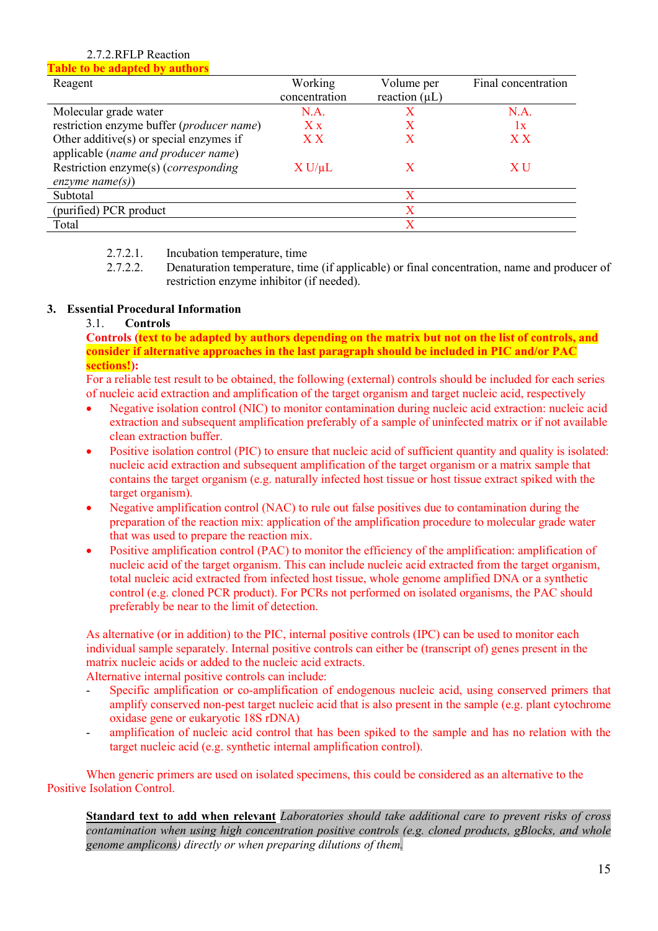## 2.7.2.RFLP Reaction

**Table to be adapted by authors**

| Reagent                                   | Working       | Volume per         | Final concentration |
|-------------------------------------------|---------------|--------------------|---------------------|
|                                           | concentration | reaction $(\mu L)$ |                     |
| Molecular grade water                     | N.A.          |                    | N.A.                |
| restriction enzyme buffer (producer name) | $X_{X}$       |                    | 1x                  |
| Other additive(s) or special enzymes if   | ${\bf X\,X}$  |                    | X X                 |
| applicable (name and producer name)       |               |                    |                     |
| Restriction enzyme(s) (corresponding      | $X U/\mu L$   |                    | X U                 |
| enzyme name(s))                           |               |                    |                     |
| Subtotal                                  |               | X                  |                     |
| (purified) PCR product                    |               |                    |                     |
| Total                                     |               |                    |                     |

2.7.2.1. Incubation temperature, time

2.7.2.2. Denaturation temperature, time (if applicable) or final concentration, name and producer of restriction enzyme inhibitor (if needed).

## **3. Essential Procedural Information**

### 3.1. **Controls**

**Controls (text to be adapted by authors depending on the matrix but not on the list of controls, and consider if alternative approaches in the last paragraph should be included in PIC and/or PAC sections!):**

For a reliable test result to be obtained, the following (external) controls should be included for each series of nucleic acid extraction and amplification of the target organism and target nucleic acid, respectively

- Negative isolation control (NIC) to monitor contamination during nucleic acid extraction: nucleic acid extraction and subsequent amplification preferably of a sample of uninfected matrix or if not available clean extraction buffer.
- Positive isolation control (PIC) to ensure that nucleic acid of sufficient quantity and quality is isolated: nucleic acid extraction and subsequent amplification of the target organism or a matrix sample that contains the target organism (e.g. naturally infected host tissue or host tissue extract spiked with the target organism).
- Negative amplification control (NAC) to rule out false positives due to contamination during the preparation of the reaction mix: application of the amplification procedure to molecular grade water that was used to prepare the reaction mix.
- Positive amplification control (PAC) to monitor the efficiency of the amplification: amplification of nucleic acid of the target organism. This can include nucleic acid extracted from the target organism, total nucleic acid extracted from infected host tissue, whole genome amplified DNA or a synthetic control (e.g. cloned PCR product). For PCRs not performed on isolated organisms, the PAC should preferably be near to the limit of detection.

As alternative (or in addition) to the PIC, internal positive controls (IPC) can be used to monitor each individual sample separately. Internal positive controls can either be (transcript of) genes present in the matrix nucleic acids or added to the nucleic acid extracts.

Alternative internal positive controls can include:

- Specific amplification or co-amplification of endogenous nucleic acid, using conserved primers that amplify conserved non-pest target nucleic acid that is also present in the sample (e.g. plant cytochrome oxidase gene or eukaryotic 18S rDNA)
- amplification of nucleic acid control that has been spiked to the sample and has no relation with the target nucleic acid (e.g. synthetic internal amplification control).

When generic primers are used on isolated specimens, this could be considered as an alternative to the Positive Isolation Control.

**Standard text to add when relevant** *Laboratories should take additional care to prevent risks of cross contamination when using high concentration positive controls (e.g. cloned products, gBlocks, and whole genome amplicons) directly or when preparing dilutions of them.*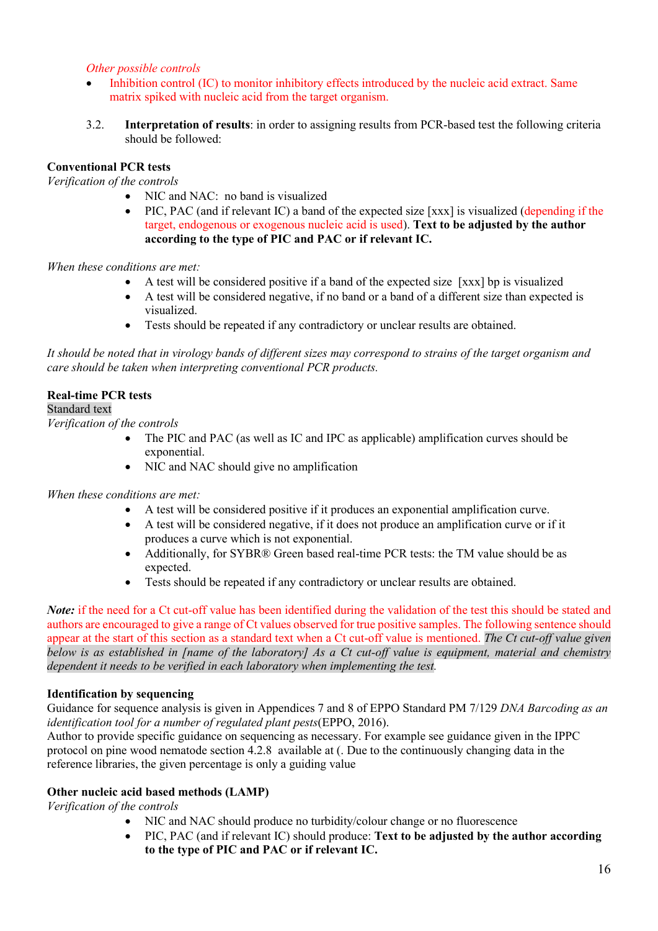## *Other possible controls*

- Inhibition control (IC) to monitor inhibitory effects introduced by the nucleic acid extract. Same matrix spiked with nucleic acid from the target organism.
- 3.2. **Interpretation of results**: in order to assigning results from PCR-based test the following criteria should be followed:

## **Conventional PCR tests**

*Verification of the controls* 

- NIC and NAC: no band is visualized
- PIC, PAC (and if relevant IC) a band of the expected size [xxx] is visualized (depending if the target, endogenous or exogenous nucleic acid is used). **Text to be adjusted by the author according to the type of PIC and PAC or if relevant IC.**

*When these conditions are met:*

- A test will be considered positive if a band of the expected size [xxx] bp is visualized
- A test will be considered negative, if no band or a band of a different size than expected is visualized.
- Tests should be repeated if any contradictory or unclear results are obtained.

*It should be noted that in virology bands of different sizes may correspond to strains of the target organism and care should be taken when interpreting conventional PCR products.* 

## **Real-time PCR tests**

Standard text

*Verification of the controls* 

- The PIC and PAC (as well as IC and IPC as applicable) amplification curves should be exponential.
- NIC and NAC should give no amplification

*When these conditions are met:*

- A test will be considered positive if it produces an exponential amplification curve.
- A test will be considered negative, if it does not produce an amplification curve or if it produces a curve which is not exponential.
- Additionally, for SYBR® Green based real-time PCR tests: the TM value should be as expected.
- Tests should be repeated if any contradictory or unclear results are obtained.

*Note*: if the need for a Ct cut-off value has been identified during the validation of the test this should be stated and authors are encouraged to give a range of Ct values observed for true positive samples. The following sentence should appear at the start of this section as a standard text when a Ct cut-off value is mentioned. *The Ct cut-off value given below is as established in [name of the laboratory] As a Ct cut-off value is equipment, material and chemistry dependent it needs to be verified in each laboratory when implementing the test.*

## **Identification by sequencing**

Guidance for sequence analysis is given in Appendices 7 and 8 of EPPO Standard PM 7/129 *DNA Barcoding as an identification tool for a number of regulated plant pests*(EPPO, 2016).

Author to provide specific guidance on sequencing as necessary. For example see guidance given in the IPPC protocol on pine wood nematode section 4.2.8 available at (. Due to the continuously changing data in the reference libraries, the given percentage is only a guiding value

## **Other nucleic acid based methods (LAMP)**

*Verification of the controls* 

- NIC and NAC should produce no turbidity/colour change or no fluorescence
- PIC, PAC (and if relevant IC) should produce: **Text to be adjusted by the author according to the type of PIC and PAC or if relevant IC.**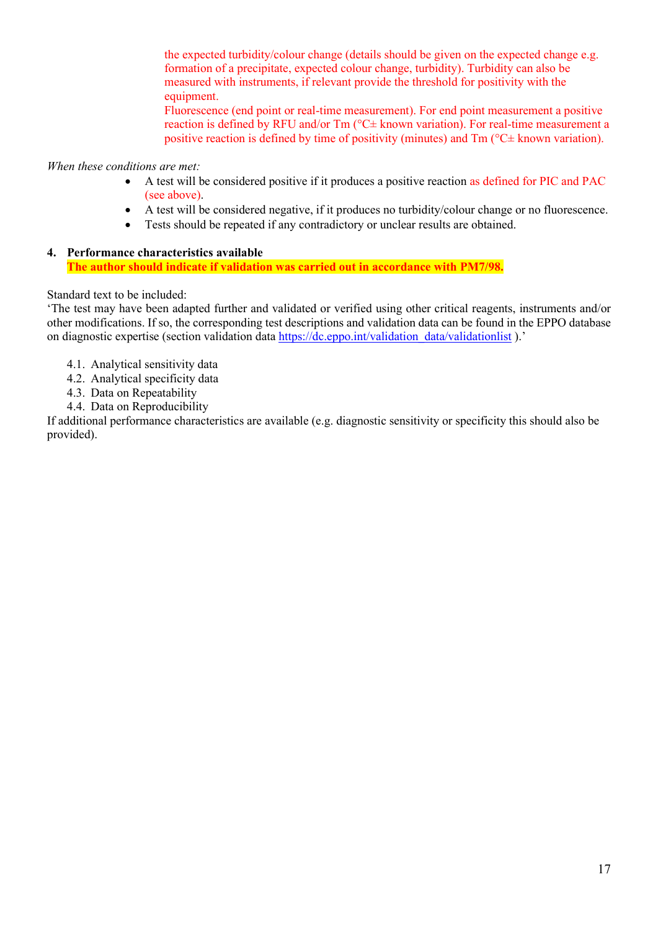the expected turbidity/colour change (details should be given on the expected change e.g. formation of a precipitate, expected colour change, turbidity). Turbidity can also be measured with instruments, if relevant provide the threshold for positivity with the equipment.

Fluorescence (end point or real-time measurement). For end point measurement a positive reaction is defined by RFU and/or Tm (°C± known variation). For real-time measurement a positive reaction is defined by time of positivity (minutes) and Tm (°C± known variation).

## *When these conditions are met:*

- A test will be considered positive if it produces a positive reaction as defined for PIC and PAC (see above).
- A test will be considered negative, if it produces no turbidity/colour change or no fluorescence.
- Tests should be repeated if any contradictory or unclear results are obtained.

### **4. Performance characteristics available The author should indicate if validation was carried out in accordance with PM7/98.**

## Standard text to be included:

'The test may have been adapted further and validated or verified using other critical reagents, instruments and/or other modifications. If so, the corresponding test descriptions and validation data can be found in the EPPO database on diagnostic expertise (section validation data [https://dc.eppo.int/validation\\_data/validationlist](https://dc.eppo.int/validation_data/validationlist) ).'

- 4.1. Analytical sensitivity data
- 4.2. Analytical specificity data
- 4.3. Data on Repeatability
- 4.4. Data on Reproducibility

If additional performance characteristics are available (e.g. diagnostic sensitivity or specificity this should also be provided).